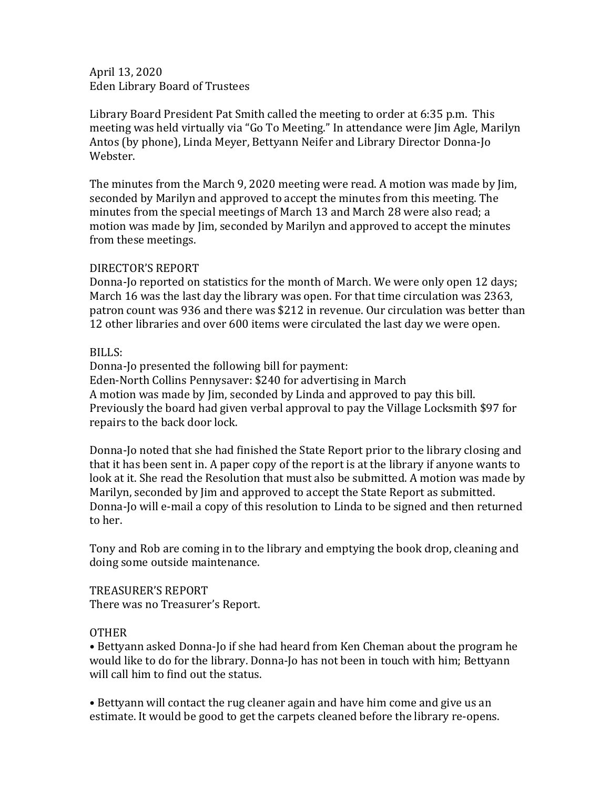April 13, 2020 Eden Library Board of Trustees

Library Board President Pat Smith called the meeting to order at 6:35 p.m. This meeting was held virtually via "Go To Meeting." In attendance were Jim Agle, Marilyn Antos (by phone), Linda Meyer, Bettyann Neifer and Library Director Donna-Jo Webster.

The minutes from the March 9, 2020 meeting were read. A motion was made by Jim, seconded by Marilyn and approved to accept the minutes from this meeting. The minutes from the special meetings of March 13 and March 28 were also read; a motion was made by Jim, seconded by Marilyn and approved to acceptthe minutes from these meetings.

## DIRECTOR'S REPORT

Donna-Jo reported on statistics for the month of March. We were only open 12 days; March 16 was the last day the library was open. For that time circulation was 2363, patron count was 936 and there was \$212 in revenue. Our circulation was better than 12 other libraries and over 600 items were circulated the last day we were open.

## BILLS:

Donna-Jo presented the following bill for payment: Eden-North Collins Pennysaver: \$240 for advertising in March A motion was made by Jim, seconded by Linda and approved to pay this bill. Previously the board had given verbal approval to pay the Village Locksmith \$97 for repairs to the back door lock.

Donna-Jo noted that she had finished the State Report prior to the library closing and that it has been sent in. A paper copy of the report is at the library if anyone wants to look at it. She read the Resolution that must also be submitted. A motion was made by Marilyn, seconded by Jim and approved to accept the State Report as submitted. Donna-Jo will e-mail a copy of this resolution to Linda to be signed and then returned to her.

Tony and Rob are coming in to the library and emptying the book drop, cleaning and doing some outside maintenance.

TREASURER'S REPORT There was no Treasurer's Report.

## OTHER

• Bettyann asked Donna-Jo if she had heard from Ken Cheman about the program he would like to do for the library. Donna-Jo has not been in touch with him; Bettyann will call him to find out the status.

• Bettyann will contact the rug cleaner again and have him come and give us an estimate. It would be good to get the carpets cleaned before the library re-opens.